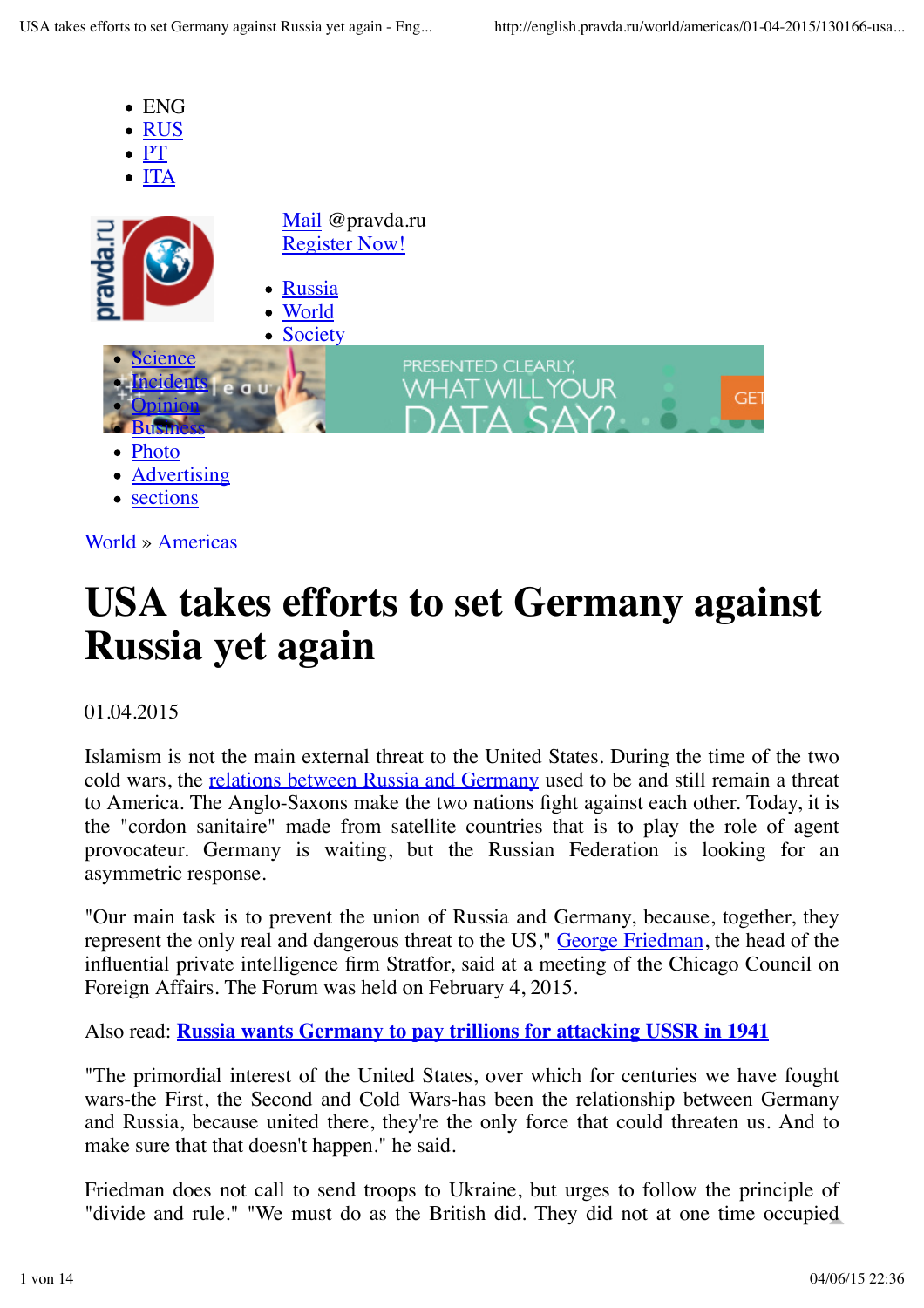

# **USA takes efforts to set Germany against Russia yet again**

# 01.04.2015

Islamism is not the main external threat to the United States. During the time of the two cold wars, the relations between Russia and Germany used to be and still remain a threat to America. The Anglo-Saxons make the two nations fight against each other. Today, it is the "cordon sanitaire" made from satellite countries that is to play the role of agent provocateur. Germany is waiting, but the Russian Federation is looking for an asymmetric response.

"Our main task is to prevent the union of Russia and Germany, because, together, they represent the only real and dangerous threat to the US," George Friedman, the head of the influential private intelligence firm Stratfor, said at a meeting of the Chicago Council on Foreign Affairs. The Forum was held on February 4, 2015.

Also read: **Russia wants Germany to pay trillions for attacking USSR in 1941**

"The primordial interest of the United States, over which for centuries we have fought wars-the First, the Second and Cold Wars-has been the relationship between Germany and Russia, because united there, they're the only force that could threaten us. And to make sure that that doesn't happen." he said.

Friedman does not call to send troops to Ukraine, but urges to follow the principle of "divide and rule." "We must do as the British did. They did not at one time occupied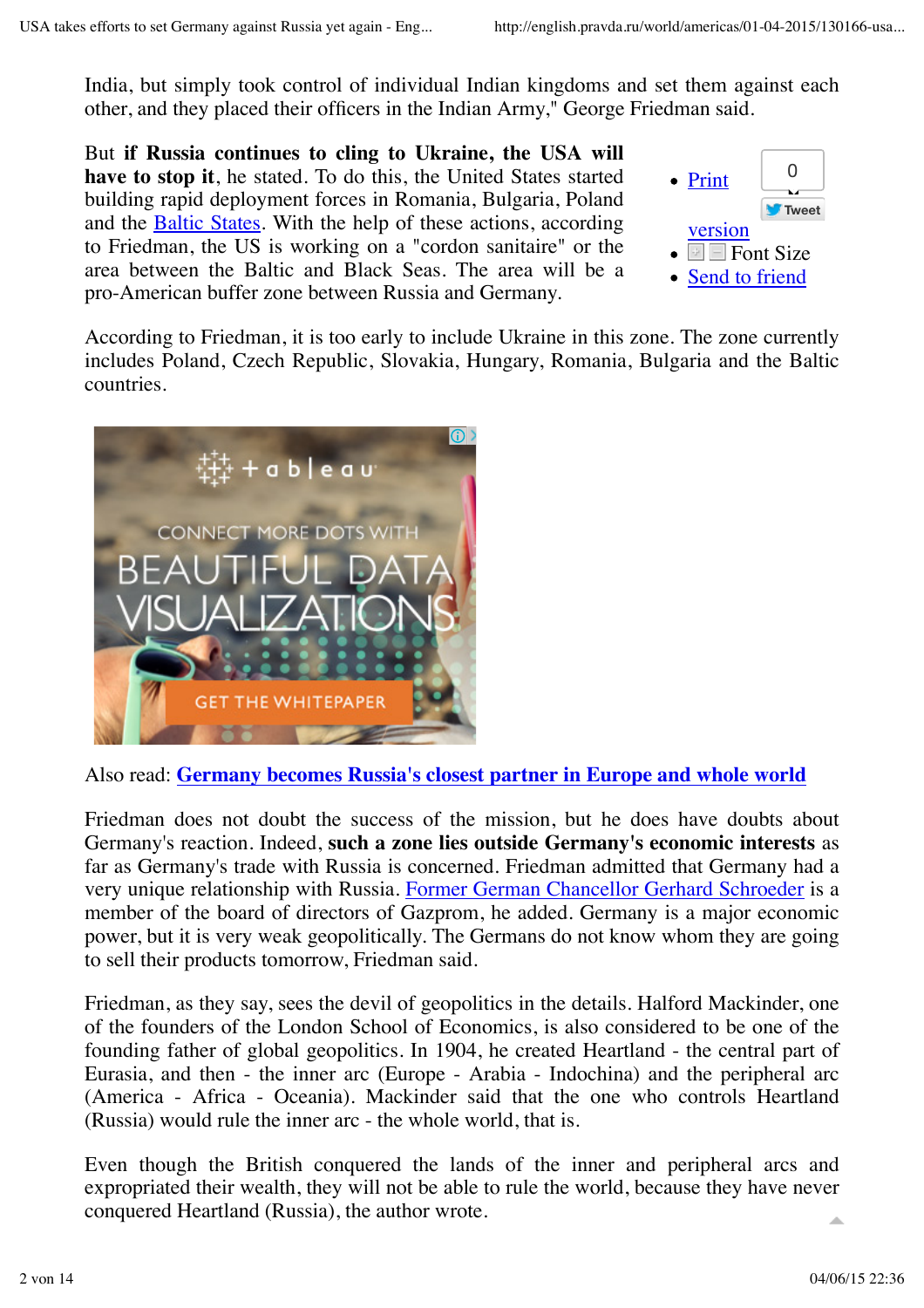India, but simply took control of individual Indian kingdoms and set them against each other, and they placed their officers in the Indian Army," George Friedman said.

But **if Russia continues to cling to Ukraine, the USA will have to stop it**, he stated. To do this, the United States started building rapid deployment forces in Romania, Bulgaria, Poland and the Baltic States. With the help of these actions, according to Friedman, the US is working on a "cordon sanitaire" or the area between the Baltic and Black Seas. The area will be a pro-American buffer zone between Russia and Germany.



According to Friedman, it is too early to include Ukraine in this zone. The zone currently includes Poland, Czech Republic, Slovakia, Hungary, Romania, Bulgaria and the Baltic countries.



Also read: **Germany becomes Russia's closest partner in Europe and whole world**

Friedman does not doubt the success of the mission, but he does have doubts about Germany's reaction. Indeed, **such a zone lies outside Germany's economic interests** as far as Germany's trade with Russia is concerned. Friedman admitted that Germany had a very unique relationship with Russia. Former German Chancellor Gerhard Schroeder is a member of the board of directors of Gazprom, he added. Germany is a major economic power, but it is very weak geopolitically. The Germans do not know whom they are going to sell their products tomorrow, Friedman said.

Friedman, as they say, sees the devil of geopolitics in the details. Halford Mackinder, one of the founders of the London School of Economics, is also considered to be one of the founding father of global geopolitics. In 1904, he created Heartland - the central part of Eurasia, and then - the inner arc (Europe - Arabia - Indochina) and the peripheral arc (America - Africa - Oceania). Mackinder said that the one who controls Heartland (Russia) would rule the inner arc - the whole world, that is.

Even though the British conquered the lands of the inner and peripheral arcs and expropriated their wealth, they will not be able to rule the world, because they have never conquered Heartland (Russia), the author wrote.